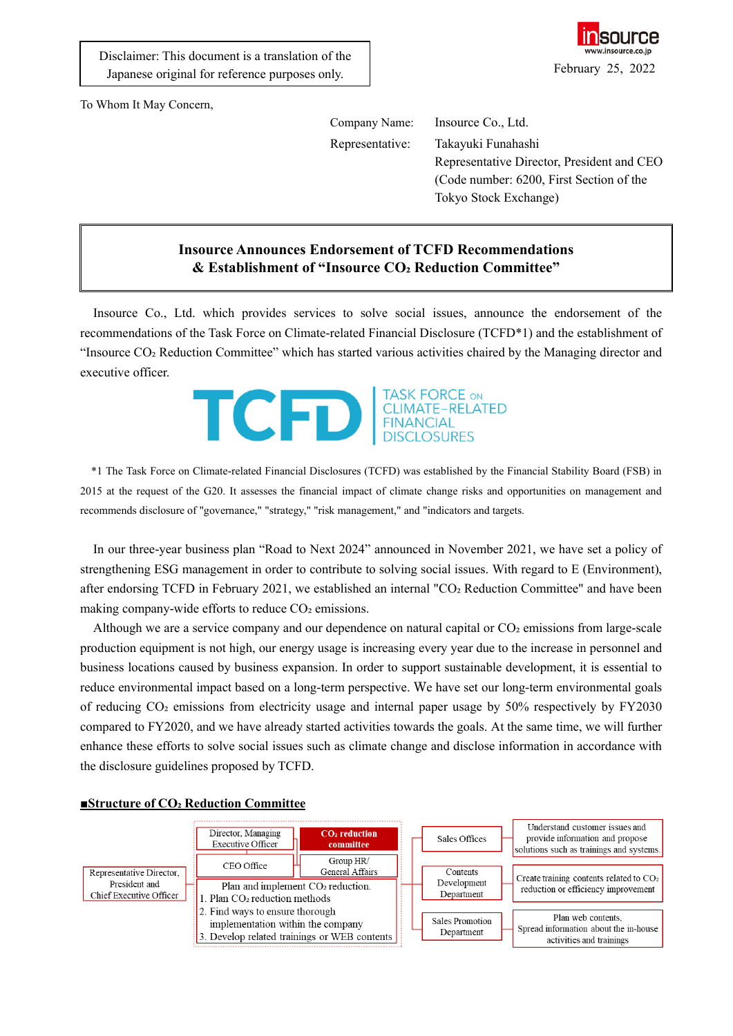

To Whom It May Concern,

Company Name: Insource Co., Ltd.

Representative: Takayuki Funahashi Representative Director, President and CEO (Code number: 6200, First Section of the Tokyo Stock Exchange)

## **Insource Announces Endorsement of TCFD Recommendations & Establishment of "Insource CO₂ Reduction Committee"**

Insource Co., Ltd. which provides services to solve social issues, announce the endorsement of the recommendations of the Task Force on Climate-related Financial Disclosure (TCFD\*1) and the establishment of "Insource CO₂ Reduction Committee" which has started various activities chaired by the Managing director and executive officer.



\*1 The Task Force on Climate-related Financial Disclosures (TCFD) was established by the Financial Stability Board (FSB) in 2015 at the request of the G20. It assesses the financial impact of climate change risks and opportunities on management and recommends disclosure of "governance," "strategy," "risk management," and "indicators and targets.

In our three-year business plan "Road to Next 2024" announced in November 2021, we have set a policy of strengthening ESG management in order to contribute to solving social issues. With regard to E (Environment), after endorsing TCFD in February 2021, we established an internal "CO<sub>2</sub> Reduction Committee" and have been making company-wide efforts to reduce CO<sub>2</sub> emissions.

Although we are a service company and our dependence on natural capital or  $CO<sub>2</sub>$  emissions from large-scale production equipment is not high, our energy usage is increasing every year due to the increase in personnel and business locations caused by business expansion. In order to support sustainable development, it is essential to reduce environmental impact based on a long-term perspective. We have set our long-term environmental goals of reducing CO₂ emissions from electricity usage and internal paper usage by 50% respectively by FY2030 compared to FY2020, and we have already started activities towards the goals. At the same time, we will further enhance these efforts to solve social issues such as climate change and disclose information in accordance with the disclosure guidelines proposed by TCFD.



## **■Structure of CO₂ Reduction Committee**